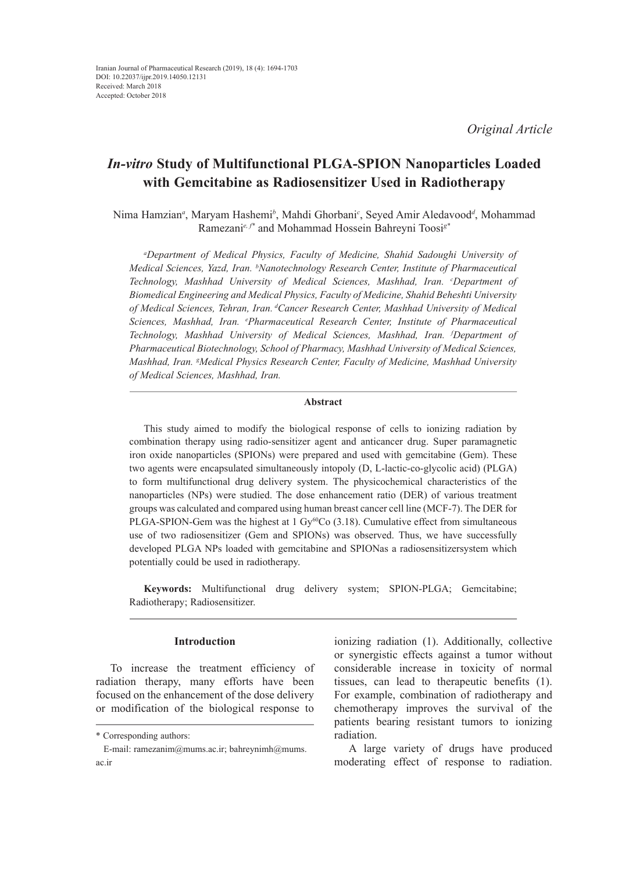*Original Article*

# *In-vitro* **Study of Multifunctional PLGA-SPION Nanoparticles Loaded with Gemcitabine as Radiosensitizer Used in Radiotherapy**

Nima Hamzian*<sup>a</sup>* , Maryam Hashemi*<sup>b</sup>* , Mahdi Ghorbani*<sup>c</sup>* , Seyed Amir Aledavood*<sup>d</sup>* , Mohammad Ramezani*e, f\** and Mohammad Hossein Bahreyni Toosi*g\**

*a Department of Medical Physics, Faculty of Medicine, Shahid Sadoughi University of Medical Sciences, Yazd, Iran. b Nanotechnology Research Center, Institute of Pharmaceutical Technology, Mashhad University of Medical Sciences, Mashhad, Iran. c Department of Biomedical Engineering and Medical Physics, Faculty of Medicine, Shahid Beheshti University of Medical Sciences, Tehran, Iran. dCancer Research Center, Mashhad University of Medical Sciences, Mashhad, Iran. e Pharmaceutical Research Center, Institute of Pharmaceutical Technology, Mashhad University of Medical Sciences, Mashhad, Iran. f Department of Pharmaceutical Biotechnology, School of Pharmacy, Mashhad University of Medical Sciences, Mashhad, Iran. g Medical Physics Research Center, Faculty of Medicine, Mashhad University of Medical Sciences, Mashhad, Iran.*

## **Abstract**

This study aimed to modify the biological response of cells to ionizing radiation by combination therapy using radio-sensitizer agent and anticancer drug. Super paramagnetic iron oxide nanoparticles (SPIONs) were prepared and used with gemcitabine (Gem). These two agents were encapsulated simultaneously intopoly (D, L-lactic-co-glycolic acid) (PLGA) to form multifunctional drug delivery system. The physicochemical characteristics of the nanoparticles (NPs) were studied. The dose enhancement ratio (DER) of various treatment groups was calculated and compared using human breast cancer cell line (MCF-7). The DER for PLGA-SPION-Gem was the highest at 1 Gy<sup>60</sup>Co (3.18). Cumulative effect from simultaneous use of two radiosensitizer (Gem and SPIONs) was observed. Thus, we have successfully developed PLGA NPs loaded with gemcitabine and SPIONas a radiosensitizersystem which potentially could be used in radiotherapy.

**Keywords:** Multifunctional drug delivery system; SPION-PLGA; Gemcitabine; Radiotherapy; Radiosensitizer.

# **Introduction**

To increase the treatment efficiency of radiation therapy, many efforts have been focused on the enhancement of the dose delivery or modification of the biological response to

ionizing radiation (1). Additionally, collective or synergistic effects against a tumor without considerable increase in toxicity of normal tissues, can lead to therapeutic benefits (1). For example, combination of radiotherapy and chemotherapy improves the survival of the patients bearing resistant tumors to ionizing radiation.

A large variety of drugs have produced moderating effect of response to radiation.

<sup>\*</sup> Corresponding authors:

E-mail: ramezanim@mums.ac.ir; bahreynimh@mums. ac.ir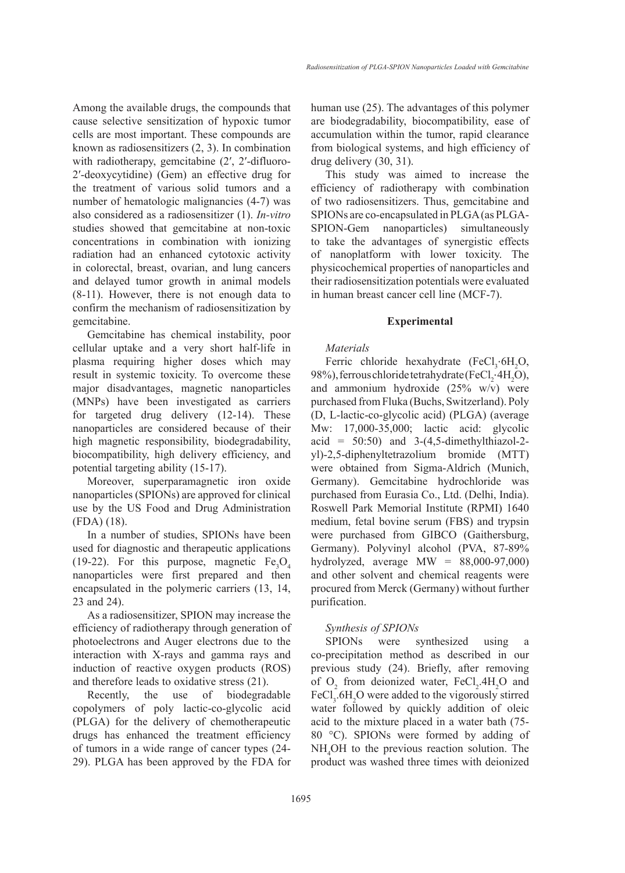Among the available drugs, the compounds that cause selective sensitization of hypoxic tumor cells are most important. These compounds are known as radiosensitizers (2, 3). In combination with radiotherapy, gemcitabine (2', 2'-difluoro-2′-deoxycytidine) (Gem) an effective drug for the treatment of various solid tumors and a number of hematologic malignancies (4-7) was also considered as a radiosensitizer (1). *In-vitro* studies showed that gemcitabine at non-toxic concentrations in combination with ionizing radiation had an enhanced cytotoxic activity in colorectal, breast, ovarian, and lung cancers and delayed tumor growth in animal models (8-11). However, there is not enough data to confirm the mechanism of radiosensitization by gemcitabine.

Gemcitabine has chemical instability, poor cellular uptake and a very short half-life in plasma requiring higher doses which may result in systemic toxicity. To overcome these major disadvantages, magnetic nanoparticles (MNPs) have been investigated as carriers for targeted drug delivery (12-14). These nanoparticles are considered because of their high magnetic responsibility, biodegradability, biocompatibility, high delivery efficiency, and potential targeting ability (15-17).

Moreover, superparamagnetic iron oxide nanoparticles (SPIONs) are approved for clinical use by the US Food and Drug Administration (FDA) (18).

In a number of studies, SPIONs have been used for diagnostic and therapeutic applications (19-22). For this purpose, magnetic  $Fe<sub>3</sub>O<sub>4</sub>$ nanoparticles were first prepared and then encapsulated in the polymeric carriers (13, 14, 23 and 24).

As a radiosensitizer, SPION may increase the efficiency of radiotherapy through generation of photoelectrons and Auger electrons due to the interaction with X-rays and gamma rays and induction of reactive oxygen products (ROS) and therefore leads to oxidative stress (21).

Recently, the use of biodegradable copolymers of poly lactic-co-glycolic acid (PLGA) for the delivery of chemotherapeutic drugs has enhanced the treatment efficiency of tumors in a wide range of cancer types (24- 29). PLGA has been approved by the FDA for human use (25). The advantages of this polymer are biodegradability, biocompatibility, ease of accumulation within the tumor, rapid clearance from biological systems, and high efficiency of drug delivery (30, 31).

This study was aimed to increase the efficiency of radiotherapy with combination of two radiosensitizers. Thus, gemcitabine and SPIONs are co-encapsulated in PLGA (as PLGA-SPION-Gem nanoparticles) simultaneously to take the advantages of synergistic effects of nanoplatform with lower toxicity. The physicochemical properties of nanoparticles and their radiosensitization potentials were evaluated in human breast cancer cell line (MCF-7).

#### **Experimental**

### *Materials*

Ferric chloride hexahydrate  $(FeCl<sub>3</sub>·6H<sub>2</sub>O,$ 98%), ferrous chloride tetrahydrate (FeCl<sub>2</sub>·4H<sub>2</sub>O), and ammonium hydroxide (25% w/v) were purchased from Fluka (Buchs, Switzerland). Poly (D, L-lactic-co-glycolic acid) (PLGA) (average Mw: 17,000-35,000; lactic acid: glycolic  $\text{acid} = 50:50$  and  $3-(4,5\text{-dimethylthiazol-2-})$ yl)-2,5-diphenyltetrazolium bromide (MTT) were obtained from Sigma-Aldrich (Munich, Germany). Gemcitabine hydrochloride was purchased from Eurasia Co., Ltd. (Delhi, India). Roswell Park Memorial Institute (RPMI) 1640 medium, fetal bovine serum (FBS) and trypsin were purchased from GIBCO (Gaithersburg, Germany). Polyvinyl alcohol (PVA, 87-89% hydrolyzed, average  $MW = 88,000-97,000$ and other solvent and chemical reagents were procured from Merck (Germany) without further purification.

### *Synthesis of SPIONs*

SPIONs were synthesized using a co-precipitation method as described in our previous study (24). Briefly, after removing of  $O_2$  from deionized water,  $FeCl_2$ .4H<sub>2</sub>O and  $FeCl<sub>3</sub>$ .6H<sub>2</sub>O were added to the vigorously stirred water followed by quickly addition of oleic acid to the mixture placed in a water bath (75- 80 °C). SPIONs were formed by adding of NH4 OH to the previous reaction solution. The product was washed three times with deionized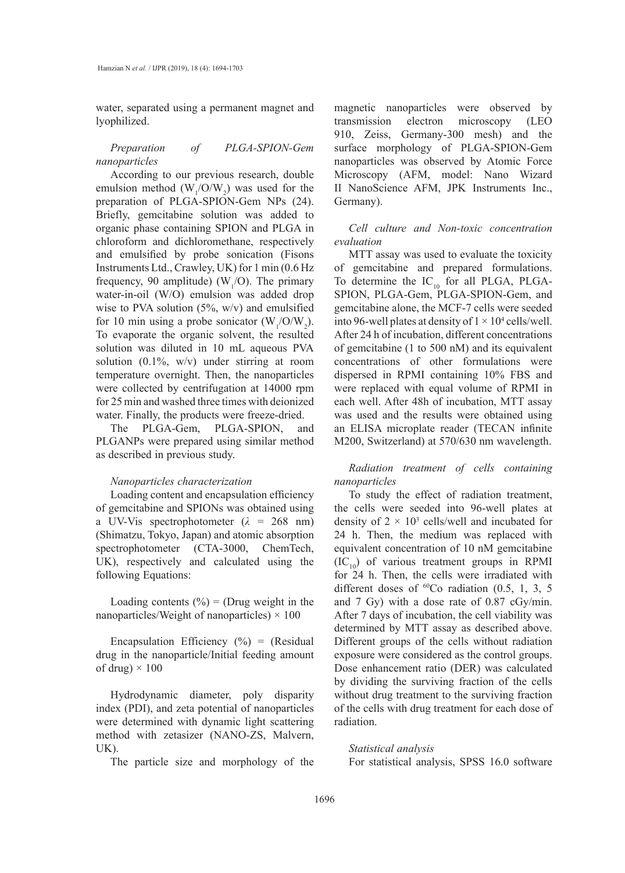water, separated using a permanent magnet and lyophilized.

*Preparation of PLGA-SPION-Gem nanoparticles*

According to our previous research, double emulsion method  $(W_1/O/W_2)$  was used for the preparation of PLGA-SPION-Gem NPs (24). Briefly, gemcitabine solution was added to organic phase containing SPION and PLGA in chloroform and dichloromethane, respectively and emulsified by probe sonication (Fisons Instruments Ltd., Crawley, UK) for 1 min (0.6 Hz frequency, 90 amplitude) ( $W_1$ /O). The primary water-in-oil (W/O) emulsion was added drop wise to PVA solution  $(5\%, w/v)$  and emulsified for 10 min using a probe sonicator  $(W_1/O/W_2)$ . To evaporate the organic solvent, the resulted solution was diluted in 10 mL aqueous PVA solution (0.1%, w/v) under stirring at room temperature overnight. Then, the nanoparticles were collected by centrifugation at 14000 rpm for 25 min and washed three times with deionized water. Finally, the products were freeze-dried.

The PLGA-Gem, PLGA-SPION, and PLGANPs were prepared using similar method as described in previous study.

#### *Nanoparticles characterization*

Loading content and encapsulation efficiency of gemcitabine and SPIONs was obtained using a UV-Vis spectrophotometer (*λ* = 268 nm) (Shimatzu, Tokyo, Japan) and atomic absorption spectrophotometer (CTA-3000, ChemTech, UK), respectively and calculated using the following Equations:

Loading contents  $(\% ) = (Drug weight in the$ nanoparticles/Weight of nanoparticles)  $\times$  100

Encapsulation Efficiency  $(\%) =$  (Residual drug in the nanoparticle/Initial feeding amount of drug)  $\times$  100

Hydrodynamic diameter, poly disparity index (PDI), and zeta potential of nanoparticles were determined with dynamic light scattering method with zetasizer (NANO-ZS, Malvern, UK).

The particle size and morphology of the

magnetic nanoparticles were observed by transmission electron microscopy (LEO 910, Zeiss, Germany-300 mesh) and the surface morphology of PLGA-SPION-Gem nanoparticles was observed by Atomic Force Microscopy (AFM, model: Nano Wizard II NanoScience AFM, JPK Instruments Inc., Germany).

*Cell culture and Non-toxic concentration evaluation* 

MTT assay was used to evaluate the toxicity of gemcitabine and prepared formulations. To determine the  $IC_{10}$  for all PLGA, PLGA-SPION, PLGA-Gem, PLGA-SPION-Gem, and gemcitabine alone, the MCF-7 cells were seeded into 96-well plates at density of  $1 \times 10^4$  cells/well. After 24 h of incubation, different concentrations of gemcitabine (1 to 500 nM) and its equivalent concentrations of other formulations were dispersed in RPMI containing 10% FBS and were replaced with equal volume of RPMI in each well. After 48h of incubation, MTT assay was used and the results were obtained using an ELISA microplate reader (TECAN infinite M200, Switzerland) at 570/630 nm wavelength.

*Radiation treatment of cells containing nanoparticles*

To study the effect of radiation treatment, the cells were seeded into 96-well plates at density of  $2 \times 10^3$  cells/well and incubated for 24 h. Then, the medium was replaced with equivalent concentration of 10 nM gemcitabine  $(IC_{10})$  of various treatment groups in RPMI for 24 h. Then, the cells were irradiated with different doses of  ${}^{60}Co$  radiation (0.5, 1, 3, 5 and 7 Gy) with a dose rate of 0.87 cGy/min. After 7 days of incubation, the cell viability was determined by MTT assay as described above. Different groups of the cells without radiation exposure were considered as the control groups. Dose enhancement ratio (DER) was calculated by dividing the surviving fraction of the cells without drug treatment to the surviving fraction of the cells with drug treatment for each dose of radiation.

*Statistical analysis* For statistical analysis, SPSS 16.0 software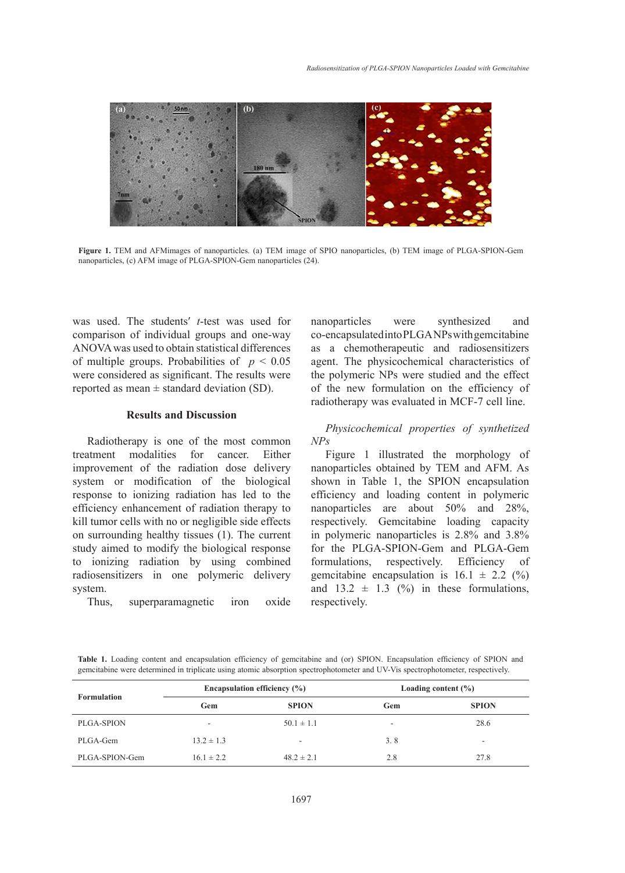

**Figure 1.** TEM and AFMimages of nanoparticles. (a) TEM image of SPIO **Figure 1.** TEM and AFMimages of nanoparticles. (a) TEM image of SPIO nanoparticles, (b) TEM image of PLGA-SPION-Gem nanoparticles, (c) AFM image of PLGA-SPION-Gem nanoparticles (24).

was used. The students′ *t*-test was used for comparison of individual groups and one-way ANOVA was used to obtain statistical differences of multiple groups. Probabilities of  $p < 0.05$ were considered as significant. The results were reported as mean  $\pm$  standard deviation (SD).

# **Results and Discussion**

Radiotherapy is one of the most common treatment modalities for cancer. Either Figure 1 illustrated the morphology improvement of the radiation dose delivery system or modification of the biological response to ionizing radiation has led to the efficiency enhancement of radiation therapy to kill tumor cells with no or negligible side effects on surrounding healthy tissues (1). The current study aimed to modify the biological response to ionizing radiation by using combined formulations, respectively. radiosensitizers in one polymeric delivery system.

Thus, superparamagnetic iron oxide

nanoparticles were synthesized and co-encapsulated into PLGA NPs with gemcitabine as a chemotherapeutic and radiosensitizers le groups. Probabilities of  $p < 0.05$  agent. The physicochemical characteristics of the polymeric NPs were studied and the effect of the new formulation on the efficiency of the new formulation on the efficiency of  $\frac{1}{2}$ radiotherapy was evaluated in MCF-7 cell line.

# **EXIMPLE 2018 AND SECULS AND FINDICAL PROPERTIES** of synthetized at higher properties of synthetized *NPs*

Figure 1 illustrated the morphology of nanoparticles obtained by TEM and AFM. As em or modification of the biological shown in Table 1, the SPION encapsulation efficiency and loading content in polymeric ciency enhancement of radiation therapy to nanoparticles are about  $50\%$  and  $28\%$ , respectively. Gemcitabine loading capacity urrounding healthy tissues (1). The current in polymeric nanoparticles is  $2.8\%$  and  $3.8\%$ for the PLGA-SPION-Gem and PLGA-Gem formulations, respectively. Efficiency of gemcitabine encapsulation is  $16.1 \pm 2.2$  (%) and  $13.2 \pm 1.3$  (%) in these formulations, respectively.

Table 1. Loading content and encapsulation efficiency of gemcitabine and (or) SPION. Encapsulation efficiency of SPION and gemcitabine were determined in triplicate using atomic absorption spectrophotometer and UV-Vis spectrophotometer, respectively.

|                    |                | Encapsulation efficiency $(\% )$ | Loading content $(\% )$  |              |  |
|--------------------|----------------|----------------------------------|--------------------------|--------------|--|
| <b>Formulation</b> | Gem            | <b>SPION</b>                     | Gem                      | <b>SPION</b> |  |
| PLGA-SPION         | ۰              | $50.1 \pm 1.1$                   | $\overline{\phantom{a}}$ | 28.6         |  |
| PLGA-Gem           | $13.2 \pm 1.3$ | ۰                                | 3.8                      |              |  |
| PLGA-SPION-Gem     | $16.1 \pm 2.2$ | $48.2 \pm 2.1$                   | 2.8                      | 27.8         |  |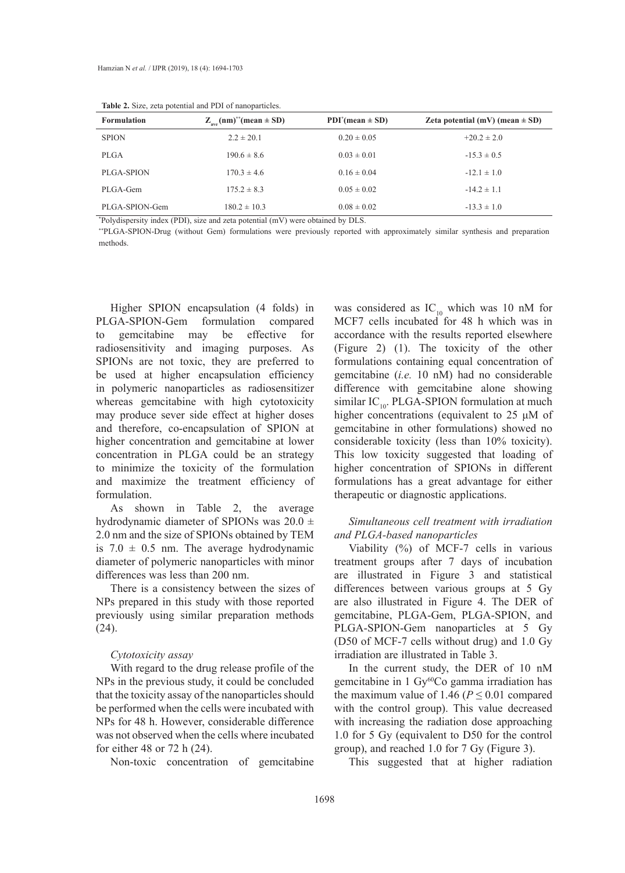| <b>Formulation</b> | $Z_{\text{ave}}(nm)^*$ (mean $\pm$ SD) | $PDI^{*}(mean \pm SD)$ | Zeta potential (mV) (mean $\pm$ SD) |
|--------------------|----------------------------------------|------------------------|-------------------------------------|
| <b>SPION</b>       | $2.2 \pm 20.1$                         | $0.20 \pm 0.05$        | $+20.2 \pm 2.0$                     |
| <b>PLGA</b>        | $190.6 \pm 8.6$                        | $0.03 \pm 0.01$        | $-15.3 \pm 0.5$                     |
| <b>PLGA-SPION</b>  | $170.3 \pm 4.6$                        | $0.16 \pm 0.04$        | $-12.1 \pm 1.0$                     |
| PLGA-Gem           | $175.2 \pm 8.3$                        | $0.05 \pm 0.02$        | $-14.2 \pm 1.1$                     |
| PLGA-SPION-Gem     | $180.2 \pm 10.3$                       | $0.08 \pm 0.02$        | $-13.3 \pm 1.0$                     |

**Table 2.** Size, zeta potential and PDI of nanoparticles.

\* Polydispersity index (PDI), size and zeta potential (mV) were obtained by DLS.

\*\*PLGA-SPION-Drug (without Gem) formulations were previously reported with approximately similar synthesis and preparation methods.

Higher SPION encapsulation (4 folds) in PLGA-SPION-Gem formulation compared to gemcitabine may be effective for radiosensitivity and imaging purposes. As SPIONs are not toxic, they are preferred to be used at higher encapsulation efficiency in polymeric nanoparticles as radiosensitizer whereas gemcitabine with high cytotoxicity may produce sever side effect at higher doses and therefore, co-encapsulation of SPION at higher concentration and gemcitabine at lower concentration in PLGA could be an strategy to minimize the toxicity of the formulation and maximize the treatment efficiency of formulation.

As shown in Table 2, the average hydrodynamic diameter of SPIONs was  $20.0 \pm$ 2.0 nm and the size of SPIONs obtained by TEM is  $7.0 \pm 0.5$  nm. The average hydrodynamic diameter of polymeric nanoparticles with minor differences was less than 200 nm.

There is a consistency between the sizes of NPs prepared in this study with those reported previously using similar preparation methods (24).

## *Cytotoxicity assay*

With regard to the drug release profile of the NPs in the previous study, it could be concluded that the toxicity assay of the nanoparticles should be performed when the cells were incubated with NPs for 48 h. However, considerable difference was not observed when the cells where incubated for either 48 or 72 h (24).

Non-toxic concentration of gemcitabine

was considered as  $IC_{10}$  which was 10 nM for MCF7 cells incubated for 48 h which was in accordance with the results reported elsewhere (Figure 2) (1). The toxicity of the other formulations containing equal concentration of gemcitabine (*i.e.* 10 nM) had no considerable difference with gemcitabine alone showing similar  $IC_{10}$ . PLGA-SPION formulation at much higher concentrations (equivalent to 25 μM of gemcitabine in other formulations) showed no considerable toxicity (less than 10% toxicity). This low toxicity suggested that loading of higher concentration of SPIONs in different formulations has a great advantage for either therapeutic or diagnostic applications.

# *Simultaneous cell treatment with irradiation and PLGA-based nanoparticles*

Viability (%) of MCF-7 cells in various treatment groups after 7 days of incubation are illustrated in Figure 3 and statistical differences between various groups at 5 Gy are also illustrated in Figure 4. The DER of gemcitabine, PLGA-Gem, PLGA-SPION, and PLGA-SPION-Gem nanoparticles at 5 Gy (D50 of MCF-7 cells without drug) and 1.0 Gy irradiation are illustrated in Table 3.

In the current study, the DER of 10 nM gemcitabine in 1 Gy<sup>60</sup>Co gamma irradiation has the maximum value of 1.46 ( $P \le 0.01$  compared with the control group). This value decreased with increasing the radiation dose approaching 1.0 for 5 Gy (equivalent to D50 for the control group), and reached 1.0 for 7 Gy (Figure 3).

This suggested that at higher radiation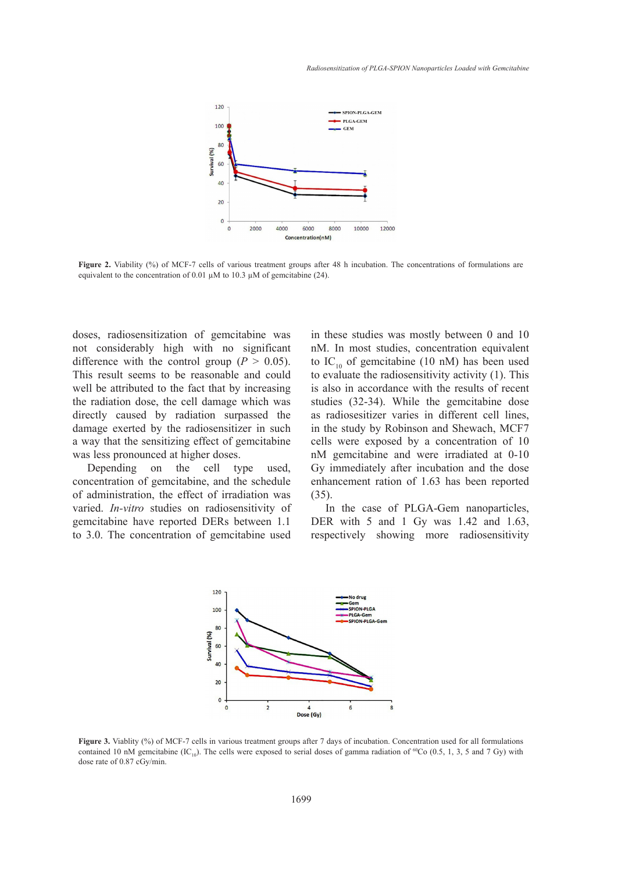

**Figure 2.** Viability (%) of MCF-7 cells of various treatment groups after 48 h incubation. The concentrations of formulations are equivalent to the concentration of 0.01  $\mu$ M to 10.3  $\mu$ M of gemcitabine (24).

doses, radiosensitization of gemcitabine was not considerably high with no significant difference with the control group  $(P > 0.05)$ . This result seems to be reasonable and could well be attributed to the fact that by increasing the radiation dose, the cell damage which was directly caused by radiation surpassed the as radiosesiti: damage exerted by the radiosensitizer in such a way that the sensitizing effect of gemcitabine was less pronounced at higher doses.

Depending on the cell type used, concentration of gemcitabine, and the schedule of administration, the effect of irradiation was varied. *In-vitro* studies on radiosensitivity of gemcitabine have reported DERs between 1.1 to 3.0. The concentration of gemcitabine used

1 of gemcitabine was in these studies was mostly between 0 and 10 with no significant nM. In most studies, concentration equivalent trol group ( $P > 0.05$ ). to IC<sub>10</sub> of gemcitabine (10 nM) has been used  $\epsilon$  reasonable and could to evaluate the radiosensitivity activity (1). This is also in accordance with the results of recent cell damage which was studies (32-34). While the gemcitabine dose as radiosesitizer varies in different cell lines, in the study by Robinson and Shewach, MCF7 cells were exposed by a concentration of 10 nM gemcitabine and were irradiated at 0-10 Gy immediately after incubation and the dose enhancement ration of 1.63 has been reported (35).

> In the case of PLGA-Gem nanoparticles, DER with 5 and 1 Gy was 1.42 and 1.63, respectively showing more radiosensitivity



contained 10 nM gemcitabine  $(IC_{10})$ . The cells were exposed to serial doses of gamma radiation of <sup>60</sup>Co (0.5, 1, 3, 5 and 7 Gy) with **Figure 3.** Viablity (%) of MCF-7 cells in various treatment groups after 7 days of incubation. Concentration used for all formulations dose rate of 0.87 cGy/min.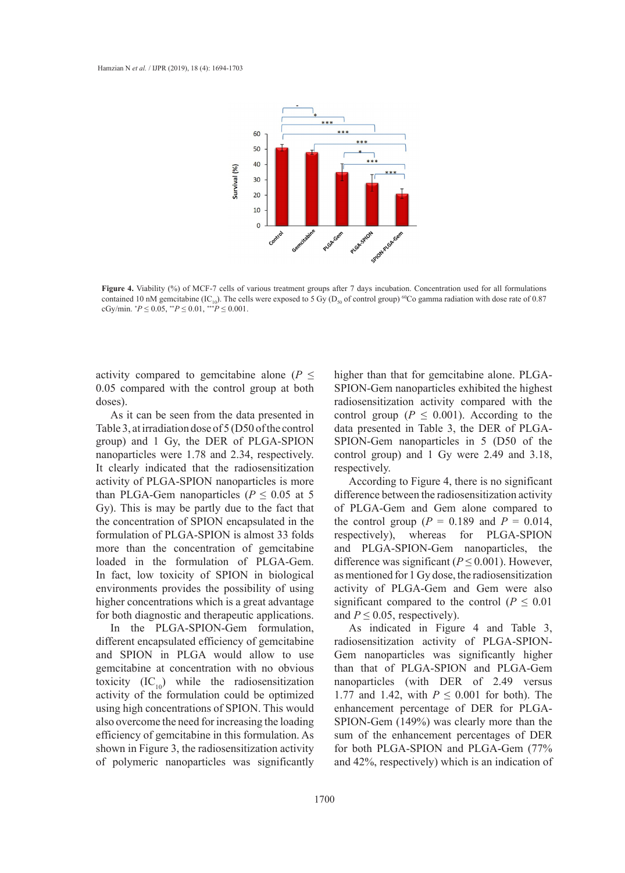

**Figure 4.** Viability (%) of MCF-7 cells of various treatment groups after 7 days incubation. Concentration used for all formulations contained 10 nM gemcitabine (IC<sub>10</sub>). The cells were exposed to 5 Gy (D<sub>50</sub> of control group) <sup>60</sup>Co gamma radiation with dose rate of 0.87<br>
cGy/min \*P < 0.05 \*\*P < 0.01 \*\*\*P < 0.001  $cGy/min.$   $P \le 0.05$ ,  $P \le 0.01$ ,  $P \le 0.001$ .

activity compared to gemcitabine alone ( $P \leq$ 0.05 compared with the control group at both doses).

As it can be seen from the data presented in Table 3, at irradiation dose of 5 (D50 of the control group) and 1 Gy, the DER of PLGA-SPION nanoparticles were 1.78 and 2.34, respectively. It clearly indicated that the radiosensitization activity of PLGA-SPION nanoparticles is more than PLGA-Gem nanoparticles ( $P \le 0.05$  at 5 Gy). This is may be partly due to the fact that the concentration of SPION encapsulated in the formulation of PLGA-SPION is almost 33 folds more than the concentration of gemcitabine loaded in the formulation of PLGA-Gem. In fact, low toxicity of SPION in biological environments provides the possibility of using higher concentrations which is a great advantage for both diagnostic and therapeutic applications.

In the PLGA-SPION-Gem formulation, different encapsulated efficiency of gemcitabine and SPION in PLGA would allow to use gemcitabine at concentration with no obvious toxicity  $(IC_{10})$  while the radiosensitization activity of the formulation could be optimized using high concentrations of SPION. This would also overcome the need for increasing the loading efficiency of gemcitabine in this formulation. As shown in Figure 3, the radiosensitization activity of polymeric nanoparticles was significantly

higher than that for gemcitabine alone. PLGA-SPION-Gem nanoparticles exhibited the highest radiosensitization activity compared with the control group ( $P \le 0.001$ ). According to the data presented in Table 3, the DER of PLGA-SPION-Gem nanoparticles in 5 (D50 of the control group) and 1 Gy were 2.49 and 3.18, respectively.

According to Figure 4, there is no significant difference between the radiosensitization activity of PLGA-Gem and Gem alone compared to the control group ( $P = 0.189$  and  $P = 0.014$ , respectively), whereas for PLGA-SPION and PLGA-SPION-Gem nanoparticles, the difference was significant ( $P \le 0.001$ ). However, as mentioned for 1 Gy dose, the radiosensitization activity of PLGA-Gem and Gem were also significant compared to the control ( $P \leq 0.01$ ) and  $P \leq 0.05$ , respectively).

As indicated in Figure 4 and Table 3, radiosensitization activity of PLGA-SPION-Gem nanoparticles was significantly higher than that of PLGA-SPION and PLGA-Gem nanoparticles (with DER of 2.49 versus 1.77 and 1.42, with  $P \leq 0.001$  for both). The enhancement percentage of DER for PLGA-SPION-Gem (149%) was clearly more than the sum of the enhancement percentages of DER for both PLGA-SPION and PLGA-Gem (77% and 42%, respectively) which is an indication of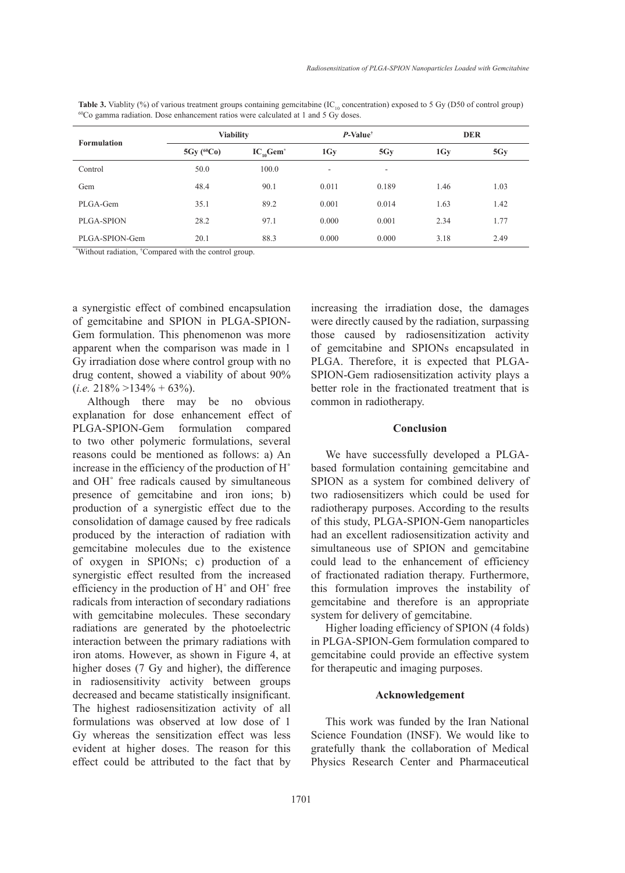|  | <b>Table 3.</b> Viablity (%) of various treatment groups containing gemetratione (IC <sub>10</sub> concentration) exposed to 5 Gy (D50 of control group) |  |  |  |  |
|--|----------------------------------------------------------------------------------------------------------------------------------------------------------|--|--|--|--|
|  | ${}^{60}Co$ gamma radiation. Dose enhancement ratios were calculated at 1 and 5 Gy doses.                                                                |  |  |  |  |

| <b>Formulation</b> | <b>Viability</b> |                            | $P$ -Value <sup>†</sup> |        | <b>DER</b>     |      |
|--------------------|------------------|----------------------------|-------------------------|--------|----------------|------|
|                    | $5Gy (^{60}Co)$  | $IC_{10}$ Gem <sup>*</sup> | 1Gy                     | 5Gy    | 1 <sub>Y</sub> | 5Gy  |
| Control            | 50.0             | 100.0                      | ۰                       | $\sim$ |                |      |
| Gem                | 48.4             | 90.1                       | 0.011                   | 0.189  | 1.46           | 1.03 |
| PLGA-Gem           | 35.1             | 89.2                       | 0.001                   | 0.014  | 1.63           | 1.42 |
| PLGA-SPION         | 28.2             | 97.1                       | 0.000                   | 0.001  | 2.34           | 1.77 |
| PLGA-SPION-Gem     | 20.1             | 88.3                       | 0.000                   | 0.000  | 3.18           | 2.49 |

\* Without radiation, † Compared with the control group.

a synergistic effect of combined encapsulation of gemcitabine and SPION in PLGA-SPION-Gem formulation. This phenomenon was more apparent when the comparison was made in 1 Gy irradiation dose where control group with no drug content, showed a viability of about 90%  $(i.e. 218\% > 134\% + 63\%).$ 

Although there may be no obvious explanation for dose enhancement effect of PLGA-SPION-Gem formulation compared to two other polymeric formulations, several reasons could be mentioned as follows: a) An increase in the efficiency of the production of H˚ and OH˚ free radicals caused by simultaneous presence of gemcitabine and iron ions; b) production of a synergistic effect due to the consolidation of damage caused by free radicals produced by the interaction of radiation with gemcitabine molecules due to the existence of oxygen in SPIONs; c) production of a synergistic effect resulted from the increased efficiency in the production of H˚ and OH˚ free radicals from interaction of secondary radiations with gemcitabine molecules. These secondary radiations are generated by the photoelectric interaction between the primary radiations with iron atoms. However, as shown in Figure 4, at higher doses (7 Gy and higher), the difference in radiosensitivity activity between groups decreased and became statistically insignificant. The highest radiosensitization activity of all formulations was observed at low dose of 1 Gy whereas the sensitization effect was less evident at higher doses. The reason for this effect could be attributed to the fact that by

increasing the irradiation dose, the damages were directly caused by the radiation, surpassing those caused by radiosensitization activity of gemcitabine and SPIONs encapsulated in PLGA. Therefore, it is expected that PLGA-SPION-Gem radiosensitization activity plays a better role in the fractionated treatment that is common in radiotherapy.

## **Conclusion**

We have successfully developed a PLGAbased formulation containing gemcitabine and SPION as a system for combined delivery of two radiosensitizers which could be used for radiotherapy purposes. According to the results of this study, PLGA-SPION-Gem nanoparticles had an excellent radiosensitization activity and simultaneous use of SPION and gemcitabine could lead to the enhancement of efficiency of fractionated radiation therapy. Furthermore, this formulation improves the instability of gemcitabine and therefore is an appropriate system for delivery of gemcitabine.

Higher loading efficiency of SPION (4 folds) in PLGA-SPION-Gem formulation compared to gemcitabine could provide an effective system for therapeutic and imaging purposes.

### **Acknowledgement**

This work was funded by the Iran National Science Foundation (INSF). We would like to gratefully thank the collaboration of Medical Physics Research Center and Pharmaceutical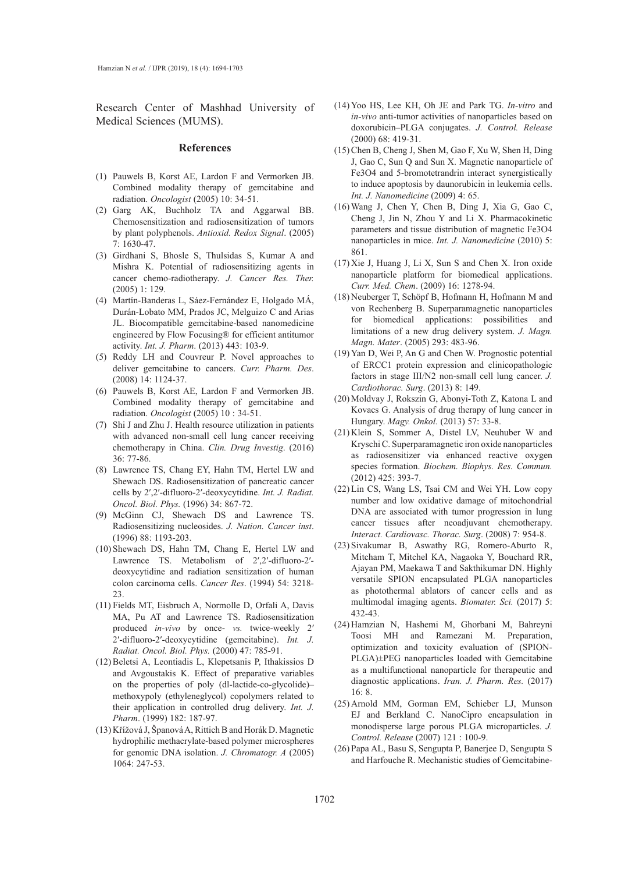Research Center of Mashhad University of Medical Sciences (MUMS).

#### **References**

- Pauwels B, Korst AE, Lardon F and Vermorken JB. (1) Combined modality therapy of gemcitabine and radiation. *Oncologist* (2005) 10: 34-51.
- (2) Garg AK, Buchholz TA and Aggarwal BB. Chemosensitization and radiosensitization of tumors by plant polyphenols. *Antioxid. Redox Signal*. (2005) 7: 1630-47.
- Girdhani S, Bhosle S, Thulsidas S, Kumar A and (3) Mishra K. Potential of radiosensitizing agents in cancer chemo-radiotherapy. *J. Cancer Res. Ther.*  (2005) 1: 129.
- Martín-Banderas L, Sáez-Fernández E, Holgado MÁ, (4) Durán-Lobato MM, Prados JC, Melguizo C and Arias JL. Biocompatible gemcitabine-based nanomedicine engineered by Flow Focusing® for efficient antitumor activity. *Int. J. Pharm*. (2013) 443: 103-9.
- (5) Reddy LH and Couvreur P. Novel approaches to deliver gemcitabine to cancers. *Curr. Pharm. Des*. (2008) 14: 1124-37.
- Pauwels B, Korst AE, Lardon F and Vermorken JB. (6) Combined modality therapy of gemcitabine and radiation. *Oncologist* (2005) 10 : 34-51.
- (7) Shi J and Zhu J. Health resource utilization in patients with advanced non-small cell lung cancer receiving chemotherapy in China. *Clin. Drug Investig*. (2016) 36: 77-86.
- Lawrence TS, Chang EY, Hahn TM, Hertel LW and (8) Shewach DS. Radiosensitization of pancreatic cancer cells by 2′,2′-difluoro-2′-deoxycytidine. *Int. J. Radiat. Oncol. Biol. Phys.* (1996) 34: 867-72.
- (9) McGinn CJ, Shewach DS and Lawrence TS. Radiosensitizing nucleosides. *J. Nation. Cancer inst*. (1996) 88: 1193-203.
- (10) Shewach DS, Hahn TM, Chang E, Hertel LW and Lawrence TS. Metabolism of 2′,2′-difluoro-2′ deoxycytidine and radiation sensitization of human colon carcinoma cells. *Cancer Res*. (1994) 54: 3218- 23.
- Fields MT, Eisbruch A, Normolle D, Orfali A, Davis (11) MA, Pu AT and Lawrence TS. Radiosensitization produced *in-vivo* by once- *vs.* twice-weekly 2′ 2′-difluoro-2′-deoxycytidine (gemcitabine). *Int. J. Radiat. Oncol. Biol. Phys.* (2000) 47: 785-91.
- (12) Beletsi A, Leontiadis L, Klepetsanis P, Ithakissios D and Avgoustakis K. Effect of preparative variables on the properties of poly (dl-lactide-co-glycolide)– methoxypoly (ethyleneglycol) copolymers related to their application in controlled drug delivery. *Int. J. Pharm*. (1999) 182: 187-97.
- (13) Křížová J, Španová A, Rittich B and Horák D. Magnetic hydrophilic methacrylate-based polymer microspheres for genomic DNA isolation. *J. Chromatogr. A* (2005) 1064: 247-53.
- (14) Yoo HS, Lee KH, Oh JE and Park TG. *In-vitro* and *in-vivo* anti-tumor activities of nanoparticles based on doxorubicin–PLGA conjugates. *J. Control. Release* (2000) 68: 419-31.
- (15) Chen B, Cheng J, Shen M, Gao F, Xu W, Shen H, Ding J, Gao C, Sun Q and Sun X. Magnetic nanoparticle of Fe3O4 and 5-bromotetrandrin interact synergistically to induce apoptosis by daunorubicin in leukemia cells. *Int. J. Nanomedicine* (2009) 4: 65.
- Wang J, Chen Y, Chen B, Ding J, Xia G, Gao C, (16) Cheng J, Jin N, Zhou Y and Li X. Pharmacokinetic parameters and tissue distribution of magnetic Fe3O4 nanoparticles in mice. *Int. J. Nanomedicine* (2010) 5: 861.
- $(17)$  Xie J, Huang J, Li X, Sun S and Chen X. Iron oxide nanoparticle platform for biomedical applications. *Curr. Med. Chem*. (2009) 16: 1278-94.
- (18) Neuberger T, Schöpf B, Hofmann H, Hofmann M and von Rechenberg B. Superparamagnetic nanoparticles for biomedical applications: possibilities and limitations of a new drug delivery system. *J. Magn. Magn. Mater*. (2005) 293: 483-96.
- (19) Yan D, Wei P, An G and Chen W. Prognostic potential of ERCC1 protein expression and clinicopathologic factors in stage III/N2 non-small cell lung cancer. *J. Cardiothorac. Surg*. (2013) 8: 149.
- (20) Moldvay J, Rokszin G, Abonyi-Toth Z, Katona L and Kovacs G. Analysis of drug therapy of lung cancer in Hungary. *Magy. Onkol.* (2013) 57: 33-8.
- $(21)$  Klein S, Sommer A, Distel LV, Neuhuber W and Kryschi C. Superparamagnetic iron oxide nanoparticles as radiosensitizer via enhanced reactive oxygen species formation. *Biochem. Biophys. Res. Commun.* (2012) 425: 393-7.
- (22) Lin CS, Wang LS, Tsai CM and Wei YH. Low copy number and low oxidative damage of mitochondrial DNA are associated with tumor progression in lung cancer tissues after neoadjuvant chemotherapy. *Interact. Cardiovasc. Thorac. Surg*. (2008) 7: 954-8.
- (23) Sivakumar B, Aswathy RG, Romero-Aburto R, Mitcham T, Mitchel KA, Nagaoka Y, Bouchard RR, Ajayan PM, Maekawa T and Sakthikumar DN. Highly versatile SPION encapsulated PLGA nanoparticles as photothermal ablators of cancer cells and as multimodal imaging agents. *Biomater. Sci.* (2017) 5: 432-43.
- (24) Hamzian N, Hashemi M, Ghorbani M, Bahreyni Toosi MH and Ramezani M. Preparation, optimization and toxicity evaluation of (SPION-PLGA)±PEG nanoparticles loaded with Gemcitabine as a multifunctional nanoparticle for therapeutic and diagnostic applications. *Iran. J. Pharm. Res.* (2017) 16: 8.
- (25) Arnold MM, Gorman EM, Schieber LJ, Munson EJ and Berkland C. NanoCipro encapsulation in monodisperse large porous PLGA microparticles. *J. Control. Release* (2007) 121 : 100-9.
- (26) Papa AL, Basu S, Sengupta P, Banerjee D, Sengupta S and Harfouche R. Mechanistic studies of Gemcitabine-